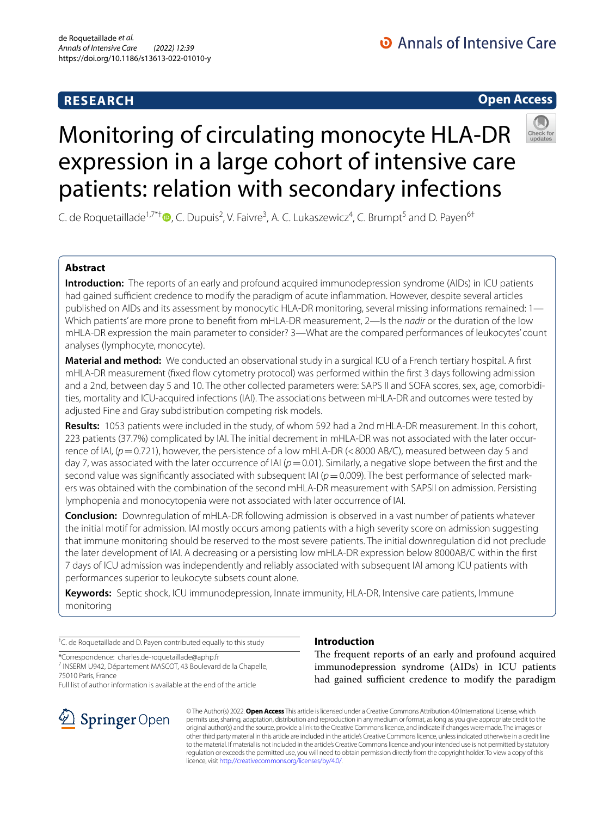# **RESEARCH**

# **Open Access**



# Monitoring of circulating monocyte HLA-DR expression in a large cohort of intensive care patients: relation with secondary infections

C. de Roquetaillade<sup>1,7\*[†](http://orcid.org/0000-0002-3333-4686)</sup> D, C. Dupuis<sup>2</sup>, V. Faivre<sup>3</sup>, A. C. Lukaszewicz<sup>4</sup>, C. Brumpt<sup>5</sup> and D. Payen<sup>6†</sup>

# **Abstract**

**Introduction:** The reports of an early and profound acquired immunodepression syndrome (AIDs) in ICU patients had gained sufficient credence to modify the paradigm of acute inflammation. However, despite several articles published on AIDs and its assessment by monocytic HLA-DR monitoring, several missing informations remained: 1– Which patients' are more prone to beneft from mHLA-DR measurement, 2—Is the *nadir* or the duration of the low mHLA-DR expression the main parameter to consider? 3—What are the compared performances of leukocytes' count analyses (lymphocyte, monocyte).

**Material and method:** We conducted an observational study in a surgical ICU of a French tertiary hospital. A frst mHLA-DR measurement (fixed flow cytometry protocol) was performed within the first 3 days following admission and a 2nd, between day 5 and 10. The other collected parameters were: SAPS II and SOFA scores, sex, age, comorbidities, mortality and ICU-acquired infections (IAI). The associations between mHLA-DR and outcomes were tested by adjusted Fine and Gray subdistribution competing risk models.

**Results:** 1053 patients were included in the study, of whom 592 had a 2nd mHLA-DR measurement. In this cohort, 223 patients (37.7%) complicated by IAI. The initial decrement in mHLA-DR was not associated with the later occurrence of IAI, ( $p=0.721$ ), however, the persistence of a low mHLA-DR (<8000 AB/C), measured between day 5 and day 7, was associated with the later occurrence of IAI ( $p=0.01$ ). Similarly, a negative slope between the first and the second value was significantly associated with subsequent IAI ( $p=0.009$ ). The best performance of selected markers was obtained with the combination of the second mHLA-DR measurement with SAPSII on admission. Persisting lymphopenia and monocytopenia were not associated with later occurrence of IAI.

**Conclusion:** Downregulation of mHLA-DR following admission is observed in a vast number of patients whatever the initial motif for admission. IAI mostly occurs among patients with a high severity score on admission suggesting that immune monitoring should be reserved to the most severe patients. The initial downregulation did not preclude the later development of IAI. A decreasing or a persisting low mHLA-DR expression below 8000AB/C within the frst 7 days of ICU admission was independently and reliably associated with subsequent IAI among ICU patients with performances superior to leukocyte subsets count alone.

**Keywords:** Septic shock, ICU immunodepression, Innate immunity, HLA-DR, Intensive care patients, Immune monitoring

† C. de Roquetaillade and D. Payen contributed equally to this study

\*Correspondence: charles.de-roquetaillade@aphp.fr

<sup>7</sup> INSERM U942, Département MASCOT, 43 Boulevard de la Chapelle, 75010 Paris, France

Full list of author information is available at the end of the article



# **Introduction**

The frequent reports of an early and profound acquired immunodepression syndrome (AIDs) in ICU patients had gained sufficient credence to modify the paradigm

© The Author(s) 2022. **Open Access** This article is licensed under a Creative Commons Attribution 4.0 International License, which permits use, sharing, adaptation, distribution and reproduction in any medium or format, as long as you give appropriate credit to the original author(s) and the source, provide a link to the Creative Commons licence, and indicate if changes were made. The images or other third party material in this article are included in the article's Creative Commons licence, unless indicated otherwise in a credit line to the material. If material is not included in the article's Creative Commons licence and your intended use is not permitted by statutory regulation or exceeds the permitted use, you will need to obtain permission directly from the copyright holder. To view a copy of this licence, visit [http://creativecommons.org/licenses/by/4.0/.](http://creativecommons.org/licenses/by/4.0/)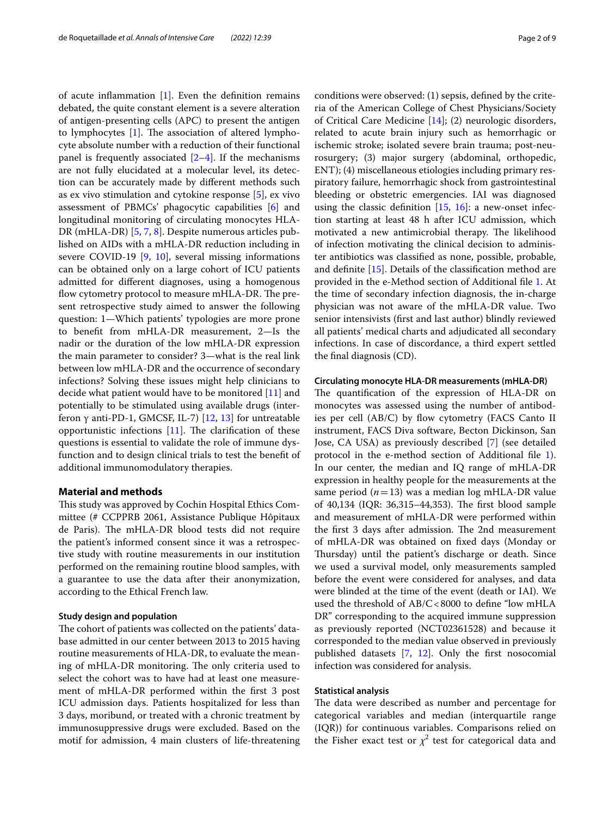of acute inflammation  $[1]$  $[1]$ . Even the definition remains debated, the quite constant element is a severe alteration of antigen-presenting cells (APC) to present the antigen to lymphocytes  $[1]$  $[1]$ . The association of altered lymphocyte absolute number with a reduction of their functional panel is frequently associated  $[2-4]$  $[2-4]$  $[2-4]$ . If the mechanisms are not fully elucidated at a molecular level, its detection can be accurately made by diferent methods such as ex vivo stimulation and cytokine response [\[5](#page-8-3)], ex vivo assessment of PBMCs' phagocytic capabilities [\[6](#page-8-4)] and longitudinal monitoring of circulating monocytes HLA-DR (mHLA-DR) [[5,](#page-8-3) [7](#page-8-5), [8\]](#page-8-6). Despite numerous articles published on AIDs with a mHLA-DR reduction including in severe COVID-19 [\[9](#page-8-7), [10](#page-8-8)], several missing informations can be obtained only on a large cohort of ICU patients admitted for diferent diagnoses, using a homogenous flow cytometry protocol to measure mHLA-DR. The present retrospective study aimed to answer the following question: 1—Which patients' typologies are more prone to beneft from mHLA-DR measurement, 2—Is the nadir or the duration of the low mHLA-DR expression the main parameter to consider? 3—what is the real link between low mHLA-DR and the occurrence of secondary infections? Solving these issues might help clinicians to decide what patient would have to be monitored [[11\]](#page-8-9) and potentially to be stimulated using available drugs (interferon γ anti-PD-1, GMCSF, IL-7) [[12,](#page-8-10) [13](#page-8-11)] for untreatable opportunistic infections  $[11]$  $[11]$ . The clarification of these questions is essential to validate the role of immune dysfunction and to design clinical trials to test the beneft of additional immunomodulatory therapies.

#### **Material and methods**

This study was approved by Cochin Hospital Ethics Committee (# CCPPRB 2061, Assistance Publique Hôpitaux de Paris). The mHLA-DR blood tests did not require the patient's informed consent since it was a retrospective study with routine measurements in our institution performed on the remaining routine blood samples, with a guarantee to use the data after their anonymization, according to the Ethical French law.

#### **Study design and population**

The cohort of patients was collected on the patients' database admitted in our center between 2013 to 2015 having routine measurements of HLA-DR, to evaluate the meaning of mHLA-DR monitoring. The only criteria used to select the cohort was to have had at least one measurement of mHLA-DR performed within the frst 3 post ICU admission days. Patients hospitalized for less than 3 days, moribund, or treated with a chronic treatment by immunosuppressive drugs were excluded. Based on the motif for admission, 4 main clusters of life-threatening conditions were observed: (1) sepsis, defned by the criteria of the American College of Chest Physicians/Society of Critical Care Medicine [[14\]](#page-8-12); (2) neurologic disorders, related to acute brain injury such as hemorrhagic or ischemic stroke; isolated severe brain trauma; post-neurosurgery; (3) major surgery (abdominal, orthopedic, ENT); (4) miscellaneous etiologies including primary respiratory failure, hemorrhagic shock from gastrointestinal bleeding or obstetric emergencies. IAI was diagnosed using the classic definition  $[15, 16]$  $[15, 16]$  $[15, 16]$  $[15, 16]$ : a new-onset infection starting at least 48 h after ICU admission, which motivated a new antimicrobial therapy. The likelihood of infection motivating the clinical decision to administer antibiotics was classifed as none, possible, probable, and defnite [[15](#page-8-13)]. Details of the classifcation method are provided in the e-Method section of Additional fle [1.](#page-7-0) At the time of secondary infection diagnosis, the in-charge physician was not aware of the mHLA-DR value. Two senior intensivists (frst and last author) blindly reviewed all patients' medical charts and adjudicated all secondary infections. In case of discordance, a third expert settled the fnal diagnosis (CD).

#### **Circulating monocyte HLA‑DR measurements (mHLA‑DR)**

The quantification of the expression of HLA-DR on monocytes was assessed using the number of antibodies per cell  $(AB/C)$  by flow cytometry (FACS Canto II instrument, FACS Diva software, Becton Dickinson, San Jose, CA USA) as previously described [[7\]](#page-8-5) (see detailed protocol in the e-method section of Additional fle [1](#page-7-0)). In our center, the median and IQ range of mHLA-DR expression in healthy people for the measurements at the same period (*n*=13) was a median log mHLA-DR value of 40,134 (IQR: 36,315–44,353). The first blood sample and measurement of mHLA-DR were performed within the first 3 days after admission. The 2nd measurement of mHLA-DR was obtained on fxed days (Monday or Thursday) until the patient's discharge or death. Since we used a survival model, only measurements sampled before the event were considered for analyses, and data were blinded at the time of the event (death or IAI). We used the threshold of AB/C<8000 to define "low mHLA DR" corresponding to the acquired immune suppression as previously reported (NCT02361528) and because it corresponded to the median value observed in previously published datasets [\[7,](#page-8-5) [12\]](#page-8-10). Only the frst nosocomial infection was considered for analysis.

## **Statistical analysis**

The data were described as number and percentage for categorical variables and median (interquartile range (IQR)) for continuous variables. Comparisons relied on the Fisher exact test or  $\chi^2$  test for categorical data and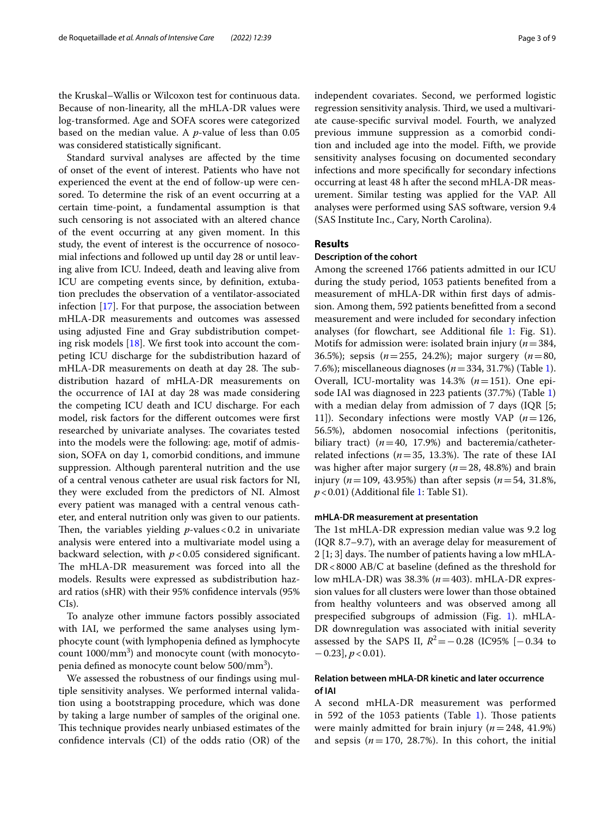the Kruskal–Wallis or Wilcoxon test for continuous data. Because of non-linearity, all the mHLA-DR values were log-transformed. Age and SOFA scores were categorized based on the median value. A *p*-value of less than 0.05 was considered statistically signifcant.

Standard survival analyses are afected by the time of onset of the event of interest. Patients who have not experienced the event at the end of follow-up were censored. To determine the risk of an event occurring at a certain time-point, a fundamental assumption is that such censoring is not associated with an altered chance of the event occurring at any given moment. In this study, the event of interest is the occurrence of nosocomial infections and followed up until day 28 or until leaving alive from ICU. Indeed, death and leaving alive from ICU are competing events since, by defnition, extubation precludes the observation of a ventilator-associated infection [\[17](#page-8-15)]. For that purpose, the association between mHLA-DR measurements and outcomes was assessed using adjusted Fine and Gray subdistribution competing risk models [\[18](#page-8-16)]. We frst took into account the competing ICU discharge for the subdistribution hazard of mHLA-DR measurements on death at day 28. The subdistribution hazard of mHLA-DR measurements on the occurrence of IAI at day 28 was made considering the competing ICU death and ICU discharge. For each model, risk factors for the diferent outcomes were frst researched by univariate analyses. The covariates tested into the models were the following: age, motif of admission, SOFA on day 1, comorbid conditions, and immune suppression. Although parenteral nutrition and the use of a central venous catheter are usual risk factors for NI, they were excluded from the predictors of NI. Almost every patient was managed with a central venous catheter, and enteral nutrition only was given to our patients. Then, the variables yielding  $p$ -values < 0.2 in univariate analysis were entered into a multivariate model using a backward selection, with *p*<0.05 considered signifcant. The mHLA-DR measurement was forced into all the models. Results were expressed as subdistribution hazard ratios (sHR) with their 95% confdence intervals (95% CIs).

To analyze other immune factors possibly associated with IAI, we performed the same analyses using lymphocyte count (with lymphopenia defned as lymphocyte count 1000/mm<sup>3</sup>) and monocyte count (with monocytopenia defined as monocyte count below 500/mm $^3$ ).

We assessed the robustness of our fndings using multiple sensitivity analyses. We performed internal validation using a bootstrapping procedure, which was done by taking a large number of samples of the original one. This technique provides nearly unbiased estimates of the confdence intervals (CI) of the odds ratio (OR) of the independent covariates. Second, we performed logistic regression sensitivity analysis. Third, we used a multivariate cause-specifc survival model. Fourth, we analyzed previous immune suppression as a comorbid condition and included age into the model. Fifth, we provide sensitivity analyses focusing on documented secondary infections and more specifcally for secondary infections occurring at least 48 h after the second mHLA-DR measurement. Similar testing was applied for the VAP. All analyses were performed using SAS software, version 9.4 (SAS Institute Inc., Cary, North Carolina).

#### **Results**

# **Description of the cohort**

Among the screened 1766 patients admitted in our ICU during the study period, 1053 patients benefted from a measurement of mHLA-DR within frst days of admission. Among them, 592 patients beneftted from a second measurement and were included for secondary infection analyses (for flowchart, see Additional file [1:](#page-7-0) Fig. S1). Motifs for admission were: isolated brain injury (*n*=384, 36.5%); sepsis (*n*=255, 24.2%); major surgery (*n*=80, 7.6%); miscellaneous diagnoses (*n*=334, 31.7%) (Table [1](#page-3-0)). Overall, ICU-mortality was 14.3% (*n*=151). One episode IAI was diagnosed in 223 patients (37.7%) (Table [1](#page-3-0)) with a median delay from admission of 7 days (IQR [5; 11]). Secondary infections were mostly VAP (*n*=126, 56.5%), abdomen nosocomial infections (peritonitis, biliary tract)  $(n=40, 17.9%)$  and bacteremia/catheterrelated infections ( $n=35$ , 13.3%). The rate of these IAI was higher after major surgery (*n*=28, 48.8%) and brain injury (*n*=109, 43.95%) than after sepsis (*n*=54, 31.8%, *p* < 0.01) (Additional file [1:](#page-7-0) Table S1).

#### **mHLA‑DR measurement at presentation**

The 1st mHLA-DR expression median value was 9.2 log (IQR 8.7–9.7), with an average delay for measurement of  $2$  [1; 3] days. The number of patients having a low mHLA-DR<8000 AB/C at baseline (defined as the threshold for low mHLA-DR) was 38.3% (*n*=403). mHLA-DR expression values for all clusters were lower than those obtained from healthy volunteers and was observed among all prespecifed subgroups of admission (Fig. [1\)](#page-4-0). mHLA-DR downregulation was associated with initial severity assessed by the SAPS II,  $R^2$  = −0.28 (IC95% [−0.34 to  $-0.23$ ,  $p < 0.01$ ).

# **Relation between mHLA‑DR kinetic and later occurrence of IAI**

A second mHLA-DR measurement was performed in 592 of the  $1053$  patients (Table [1\)](#page-3-0). Those patients were mainly admitted for brain injury (*n*=248, 41.9%) and sepsis  $(n=170, 28.7%)$ . In this cohort, the initial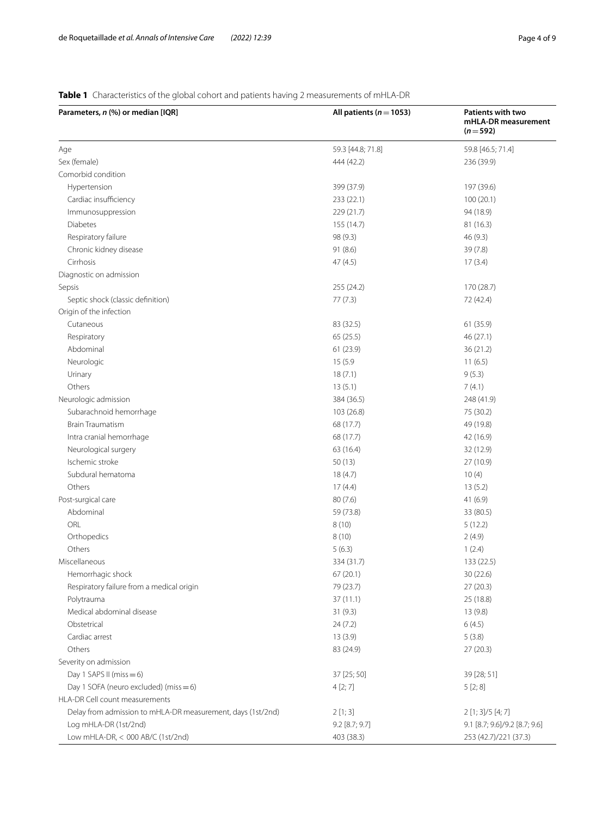# <span id="page-3-0"></span>**Table 1** Characteristics of the global cohort and patients having 2 measurements of mHLA-DR

| Parameters, n (%) or median [IQR]                           | All patients ( $n = 1053$ ) |                               |  |
|-------------------------------------------------------------|-----------------------------|-------------------------------|--|
| Age                                                         | 59.3 [44.8; 71.8]           | 59.8 [46.5; 71.4]             |  |
| Sex (female)                                                | 444 (42.2)                  | 236 (39.9)                    |  |
| Comorbid condition                                          |                             |                               |  |
| Hypertension                                                | 399 (37.9)                  | 197 (39.6)                    |  |
| Cardiac insufficiency                                       | 233 (22.1)                  | 100(20.1)                     |  |
| Immunosuppression                                           | 229 (21.7)                  | 94 (18.9)                     |  |
| Diabetes                                                    | 155 (14.7)                  | 81 (16.3)                     |  |
| Respiratory failure                                         | 98 (9.3)                    | 46(9.3)                       |  |
| Chronic kidney disease                                      | 91 (8.6)                    | 39 (7.8)                      |  |
| Cirrhosis                                                   | 47 (4.5)                    | 17(3.4)                       |  |
| Diagnostic on admission                                     |                             |                               |  |
| Sepsis                                                      | 255 (24.2)                  | 170 (28.7)                    |  |
| Septic shock (classic definition)                           | 77 (7.3)                    | 72 (42.4)                     |  |
| Origin of the infection                                     |                             |                               |  |
| Cutaneous                                                   | 83 (32.5)                   | 61(35.9)                      |  |
| Respiratory                                                 | 65(25.5)                    | 46 (27.1)                     |  |
| Abdominal                                                   | 61(23.9)                    | 36 (21.2)                     |  |
| Neurologic                                                  | 15 (5.9                     | 11(6.5)                       |  |
| Urinary                                                     | 18(7.1)                     | 9(5.3)                        |  |
| Others                                                      | 13(5.1)                     | 7(4.1)                        |  |
| Neurologic admission                                        | 384 (36.5)                  | 248 (41.9)                    |  |
| Subarachnoid hemorrhage                                     | 103 (26.8)                  | 75 (30.2)                     |  |
| <b>Brain Traumatism</b>                                     | 68 (17.7)                   | 49 (19.8)                     |  |
| Intra cranial hemorrhage                                    | 68 (17.7)                   | 42 (16.9)                     |  |
| Neurological surgery                                        | 63 (16.4)                   | 32 (12.9)                     |  |
| Ischemic stroke                                             | 50(13)                      | 27 (10.9)                     |  |
| Subdural hematoma                                           | 18(4.7)                     | 10(4)                         |  |
| Others                                                      | 17(4.4)                     | 13(5.2)                       |  |
| Post-surgical care                                          | 80(7.6)                     | 41 (6.9)                      |  |
| Abdominal                                                   | 59 (73.8)                   | 33 (80.5)                     |  |
| ORL                                                         | 8(10)                       | 5(12.2)                       |  |
| Orthopedics                                                 | 8(10)                       | 2(4.9)                        |  |
| Others                                                      | 5(6.3)                      | 1(2.4)                        |  |
| Miscellaneous                                               | 334 (31.7)                  | 133 (22.5)                    |  |
| Hemorrhagic shock                                           | 67 (20.1)                   | 30 (22.6)                     |  |
| Respiratory failure from a medical origin                   | 79 (23.7)                   | 27(20.3)                      |  |
| Polytrauma                                                  | 37(11.1)                    | 25 (18.8)                     |  |
| Medical abdominal disease                                   | 31(9.3)                     | 13 (9.8)                      |  |
| Obstetrical                                                 | 24(7.2)                     | 6(4.5)                        |  |
| Cardiac arrest                                              | 13(3.9)                     | 5(3.8)                        |  |
| Others                                                      | 83 (24.9)                   | 27(20.3)                      |  |
| Severity on admission                                       |                             |                               |  |
| Day 1 SAPS II (miss $= 6$ )                                 | 37 [25; 50]                 | 39 [28; 51]                   |  |
| Day 1 SOFA (neuro excluded) (miss $= 6$ )                   | 4[2; 7]                     | 5[2;8]                        |  |
| HLA-DR Cell count measurements                              |                             |                               |  |
| Delay from admission to mHLA-DR measurement, days (1st/2nd) | 2[1;3]                      | $2$ [1; 3]/5 [4; 7]           |  |
| Log mHLA-DR (1st/2nd)                                       | 9.2 [8.7; 9.7]              | 9.1 [8.7; 9.6]/9.2 [8.7; 9.6] |  |
| Low mHLA-DR, < 000 AB/C (1st/2nd)                           | 403 (38.3)                  | 253 (42.7)/221 (37.3)         |  |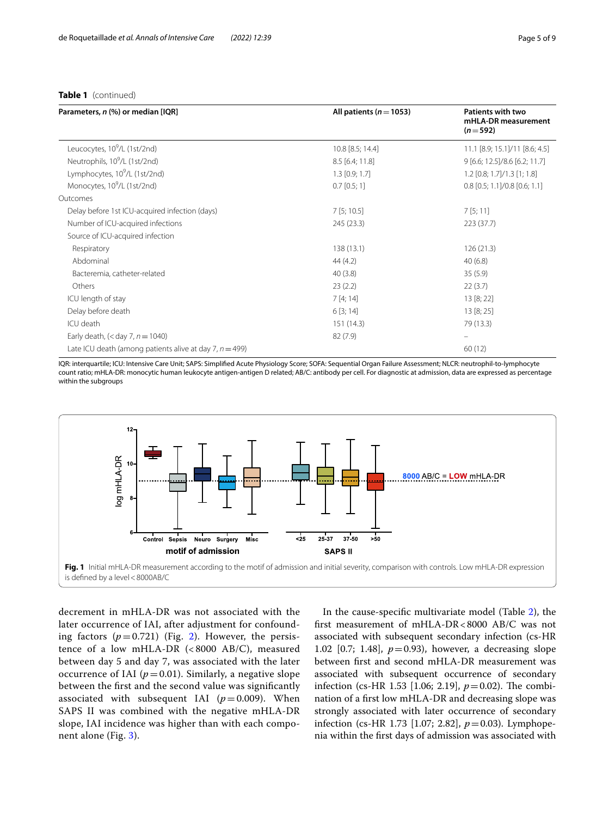#### **Table 1** (continued)

| Parameters, n (%) or median [IQR]                          | All patients ( $n = 1053$ ) | <b>Patients with two</b><br>mHLA-DR measurement<br>$(n=592)$ |  |
|------------------------------------------------------------|-----------------------------|--------------------------------------------------------------|--|
| Leucocytes, 10 <sup>9</sup> /L (1st/2nd)                   | 10.8 [8.5; 14.4]            | 11.1 [8.9; 15.1]/11 [8.6; 4.5]                               |  |
| Neutrophils, 10 <sup>9</sup> /L (1st/2nd)                  | $8.5$ [6.4; 11.8]           | 9 [6.6; 12.5]/8.6 [6.2; 11.7]                                |  |
| Lymphocytes, 10 <sup>9</sup> /L (1st/2nd)                  | $1.3$ [0.9; 1.7]            | $1.2$ [0.8; 1.7]/1.3 [1; 1.8]                                |  |
| Monocytes, 10 <sup>9</sup> /L (1st/2nd)                    | $0.7$ [0.5; 1]              | $0.8$ [0.5; 1.1]/0.8 [0.6; 1.1]                              |  |
| Outcomes                                                   |                             |                                                              |  |
| Delay before 1st ICU-acquired infection (days)             | 7[5; 10.5]                  | 7[5;11]                                                      |  |
| Number of ICU-acquired infections                          | 245 (23.3)                  | 223(37.7)                                                    |  |
| Source of ICU-acquired infection                           |                             |                                                              |  |
| Respiratory                                                | 138(13.1)                   | 126(21.3)                                                    |  |
| Abdominal                                                  | 44 (4.2)                    | 40(6.8)                                                      |  |
| Bacteremia, catheter-related                               | 40(3.8)                     | 35(5.9)                                                      |  |
| Others                                                     | 23(2.2)                     | 22(3.7)                                                      |  |
| ICU length of stay                                         | 7[4;14]                     | 13 [8; 22]                                                   |  |
| Delay before death                                         | 6[3; 14]                    | 13 [8; 25]                                                   |  |
| ICU death                                                  | 151(14.3)                   | 79 (13.3)                                                    |  |
| Early death, $(<$ day 7, $n = 1040$ )                      | 82(7.9)                     |                                                              |  |
| Late ICU death (among patients alive at day 7, $n = 499$ ) |                             | 60(12)                                                       |  |

IQR: interquartile; ICU: Intensive Care Unit; SAPS: Simplifed Acute Physiology Score; SOFA: Sequential Organ Failure Assessment; NLCR: neutrophil-to-lymphocyte count ratio; mHLA-DR: monocytic human leukocyte antigen-antigen D related; AB/C: antibody per cell. For diagnostic at admission, data are expressed as percentage within the subgroups



<span id="page-4-0"></span>decrement in mHLA-DR was not associated with the later occurrence of IAI, after adjustment for confounding factors  $(p=0.721)$  $(p=0.721)$  $(p=0.721)$  (Fig. 2). However, the persistence of a low mHLA-DR (< 8000 AB/C), measured between day 5 and day 7, was associated with the later occurrence of IAI ( $p=0.01$ ). Similarly, a negative slope between the frst and the second value was signifcantly associated with subsequent IAI  $(p=0.009)$ . When SAPS II was combined with the negative mHLA-DR slope, IAI incidence was higher than with each component alone (Fig. [3\)](#page-5-1).

In the cause-specifc multivariate model (Table [2\)](#page-6-0), the frst measurement of mHLA-DR<8000 AB/C was not associated with subsequent secondary infection (cs-HR 1.02 [0.7; 1.48],  $p=0.93$ ), however, a decreasing slope between frst and second mHLA-DR measurement was associated with subsequent occurrence of secondary infection (cs-HR 1.53 [1.06; 2.19],  $p = 0.02$ ). The combination of a frst low mHLA-DR and decreasing slope was strongly associated with later occurrence of secondary infection (cs-HR 1.73 [1.07; 2.82], *p*=0.03). Lymphopenia within the frst days of admission was associated with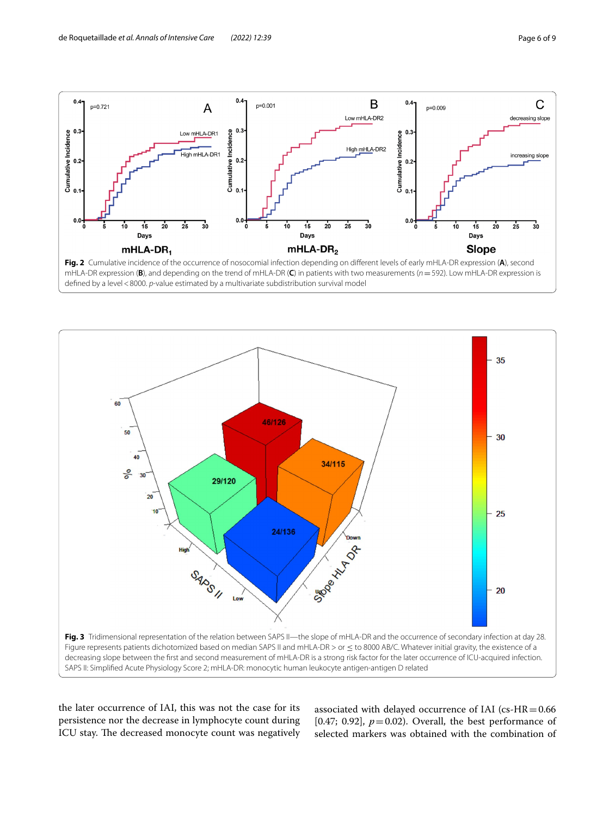

<span id="page-5-0"></span>

<span id="page-5-1"></span>the later occurrence of IAI, this was not the case for its persistence nor the decrease in lymphocyte count during ICU stay. The decreased monocyte count was negatively associated with delayed occurrence of IAI (cs- $HR = 0.66$ [0.47; 0.92],  $p=0.02$ ). Overall, the best performance of selected markers was obtained with the combination of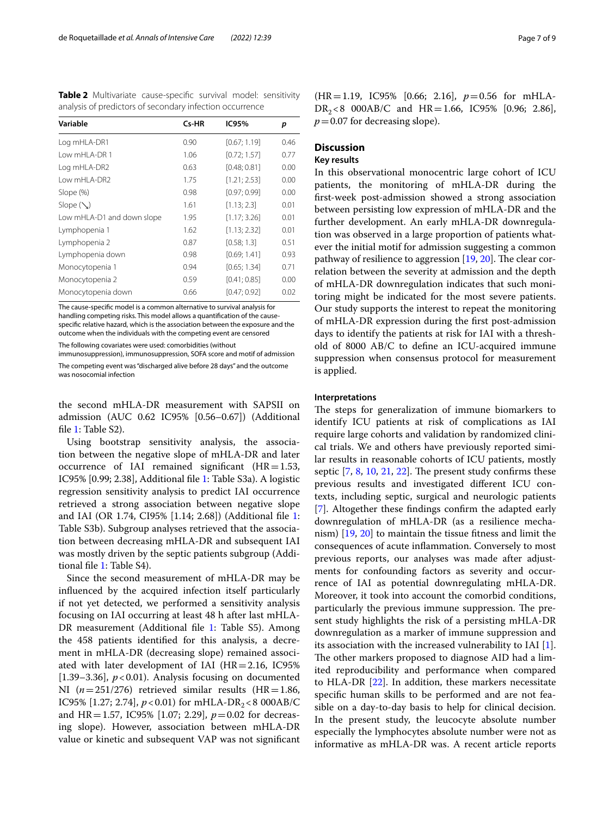<span id="page-6-0"></span>**Table 2** Multivariate cause-specifc survival model: sensitivity analysis of predictors of secondary infection occurrence

| Variable                   | Cs-HR | IC95%        | р    |
|----------------------------|-------|--------------|------|
| Log mHLA-DR1               | 0.90  | [0.67; 1.19] | 0.46 |
| Low mHLA-DR 1              | 1.06  | [0.72; 1.57] | 0.77 |
| Log mHLA-DR2               | 0.63  | [0.48; 0.81] | 0.00 |
| Low mHLA-DR2               | 1.75  | [1.21; 2.53] | 0.00 |
| Slope (%)                  | 0.98  | [0.97:0.99]  | 0.00 |
| Slope $(\setminus)$        | 1.61  | [1.13; 2.3]  | 0.01 |
| Low mHLA-D1 and down slope | 1.95  | [1.17; 3.26] | 0.01 |
| Lymphopenia 1              | 1.62  | [1.13; 2.32] | 0.01 |
| Lymphopenia 2              | 0.87  | [0.58; 1.3]  | 0.51 |
| Lymphopenia down           | 0.98  | [0.69; 1.41] | 0.93 |
| Monocytopenia 1            | 0.94  | [0.65; 1.34] | 0.71 |
| Monocytopenia 2            | 0.59  | [0.41; 0.85] | 0.00 |
| Monocytopenia down         | 0.66  | [0.47; 0.92] | 0.02 |

The cause-specifc model is a common alternative to survival analysis for handling competing risks. This model allows a quantifcation of the causespecifc relative hazard, which is the association between the exposure and the outcome when the individuals with the competing event are censored

The following covariates were used: comorbidities (without immunosuppression), immunosuppression, SOFA score and motif of admission

The competing event was "discharged alive before 28 days" and the outcome was nosocomial infection

the second mHLA-DR measurement with SAPSII on admission (AUC 0.62 IC95% [0.56–0.67]) (Additional fle [1](#page-7-0): Table S2).

Using bootstrap sensitivity analysis, the association between the negative slope of mHLA-DR and later occurrence of IAI remained significant  $(HR=1.53,$ IC95% [0.99; 2.38], Additional fle [1:](#page-7-0) Table S3a). A logistic regression sensitivity analysis to predict IAI occurrence retrieved a strong association between negative slope and IAI (OR 1.74, CI95% [1.14; 2.68]) (Additional fle [1](#page-7-0): Table S3b). Subgroup analyses retrieved that the association between decreasing mHLA-DR and subsequent IAI was mostly driven by the septic patients subgroup (Additional fle [1](#page-7-0): Table S4).

Since the second measurement of mHLA-DR may be infuenced by the acquired infection itself particularly if not yet detected, we performed a sensitivity analysis focusing on IAI occurring at least 48 h after last mHLA-DR measurement (Additional file [1](#page-7-0): Table S5). Among the 458 patients identifed for this analysis, a decrement in mHLA-DR (decreasing slope) remained associated with later development of IAI ( $HR = 2.16$ , IC95% [1.39–3.36],  $p < 0.01$ ]. Analysis focusing on documented NI  $(n=251/276)$  retrieved similar results  $(HR=1.86)$ , IC95% [1.27; 2.74],  $p < 0.01$ ) for mHLA-DR<sub>2</sub> < 8 000AB/C and HR=1.57, IC95% [1.07; 2.29], *p*=0.02 for decreasing slope). However, association between mHLA-DR value or kinetic and subsequent VAP was not signifcant

(HR=1.19, IC95% [0.66; 2.16], *p*=0.56 for mHLA- $DR_2 < 8$  000AB/C and HR = 1.66, IC95% [0.96; 2.86],  $p=0.07$  for decreasing slope).

## **Discussion**

#### **Key results**

In this observational monocentric large cohort of ICU patients, the monitoring of mHLA-DR during the frst-week post-admission showed a strong association between persisting low expression of mHLA-DR and the further development. An early mHLA-DR downregulation was observed in a large proportion of patients whatever the initial motif for admission suggesting a common pathway of resilience to aggression  $[19, 20]$  $[19, 20]$  $[19, 20]$ . The clear correlation between the severity at admission and the depth of mHLA-DR downregulation indicates that such monitoring might be indicated for the most severe patients. Our study supports the interest to repeat the monitoring of mHLA-DR expression during the frst post-admission days to identify the patients at risk for IAI with a threshold of 8000 AB/C to defne an ICU-acquired immune suppression when consensus protocol for measurement is applied.

#### **Interpretations**

The steps for generalization of immune biomarkers to identify ICU patients at risk of complications as IAI require large cohorts and validation by randomized clinical trials. We and others have previously reported similar results in reasonable cohorts of ICU patients, mostly septic  $[7, 8, 10, 21, 22]$  $[7, 8, 10, 21, 22]$  $[7, 8, 10, 21, 22]$  $[7, 8, 10, 21, 22]$  $[7, 8, 10, 21, 22]$  $[7, 8, 10, 21, 22]$  $[7, 8, 10, 21, 22]$  $[7, 8, 10, 21, 22]$  $[7, 8, 10, 21, 22]$  $[7, 8, 10, 21, 22]$ . The present study confirms these previous results and investigated diferent ICU contexts, including septic, surgical and neurologic patients [[7\]](#page-8-5). Altogether these fndings confrm the adapted early downregulation of mHLA-DR (as a resilience mechanism) [\[19,](#page-8-17) [20\]](#page-8-18) to maintain the tissue ftness and limit the consequences of acute infammation. Conversely to most previous reports, our analyses was made after adjustments for confounding factors as severity and occurrence of IAI as potential downregulating mHLA-DR. Moreover, it took into account the comorbid conditions, particularly the previous immune suppression. The present study highlights the risk of a persisting mHLA-DR downregulation as a marker of immune suppression and its association with the increased vulnerability to IAI [\[1](#page-8-0)]. The other markers proposed to diagnose AID had a limited reproducibility and performance when compared to HLA-DR [[22\]](#page-8-20). In addition, these markers necessitate specifc human skills to be performed and are not feasible on a day-to-day basis to help for clinical decision. In the present study, the leucocyte absolute number especially the lymphocytes absolute number were not as informative as mHLA-DR was. A recent article reports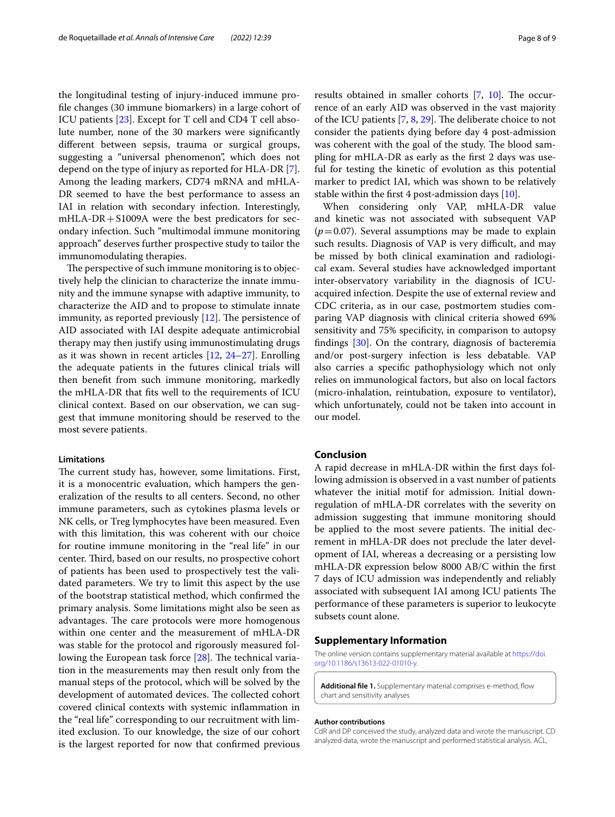the longitudinal testing of injury-induced immune profle changes (30 immune biomarkers) in a large cohort of ICU patients [\[23](#page-8-21)]. Except for T cell and CD4 T cell absolute number, none of the 30 markers were signifcantly diferent between sepsis, trauma or surgical groups, suggesting a "universal phenomenon", which does not depend on the type of injury as reported for HLA-DR [\[7](#page-8-5)]. Among the leading markers, CD74 mRNA and mHLA-DR seemed to have the best performance to assess an IAI in relation with secondary infection. Interestingly,  $mHLA-DR+S1009A$  were the best predicators for secondary infection. Such "multimodal immune monitoring approach" deserves further prospective study to tailor the immunomodulating therapies.

The perspective of such immune monitoring is to objectively help the clinician to characterize the innate immunity and the immune synapse with adaptive immunity, to characterize the AID and to propose to stimulate innate immunity, as reported previously  $[12]$  $[12]$ . The persistence of AID associated with IAI despite adequate antimicrobial therapy may then justify using immunostimulating drugs as it was shown in recent articles [\[12,](#page-8-10) [24](#page-8-22)[–27](#page-8-23)]. Enrolling the adequate patients in the futures clinical trials will then beneft from such immune monitoring, markedly the mHLA-DR that fts well to the requirements of ICU clinical context. Based on our observation, we can suggest that immune monitoring should be reserved to the most severe patients.

#### **Limitations**

The current study has, however, some limitations. First, it is a monocentric evaluation, which hampers the generalization of the results to all centers. Second, no other immune parameters, such as cytokines plasma levels or NK cells, or Treg lymphocytes have been measured. Even with this limitation, this was coherent with our choice for routine immune monitoring in the "real life" in our center. Third, based on our results, no prospective cohort of patients has been used to prospectively test the validated parameters. We try to limit this aspect by the use of the bootstrap statistical method, which confrmed the primary analysis. Some limitations might also be seen as advantages. The care protocols were more homogenous within one center and the measurement of mHLA-DR was stable for the protocol and rigorously measured following the European task force  $[28]$  $[28]$ . The technical variation in the measurements may then result only from the manual steps of the protocol, which will be solved by the development of automated devices. The collected cohort covered clinical contexts with systemic infammation in the "real life" corresponding to our recruitment with limited exclusion. To our knowledge, the size of our cohort is the largest reported for now that confrmed previous results obtained in smaller cohorts  $[7, 10]$  $[7, 10]$  $[7, 10]$ . The occurrence of an early AID was observed in the vast majority of the ICU patients  $[7, 8, 29]$  $[7, 8, 29]$  $[7, 8, 29]$  $[7, 8, 29]$  $[7, 8, 29]$ . The deliberate choice to not consider the patients dying before day 4 post-admission was coherent with the goal of the study. The blood sampling for mHLA-DR as early as the frst 2 days was useful for testing the kinetic of evolution as this potential marker to predict IAI, which was shown to be relatively stable within the first 4 post-admission days  $[10]$  $[10]$ .

When considering only VAP, mHLA-DR value and kinetic was not associated with subsequent VAP  $(p=0.07)$ . Several assumptions may be made to explain such results. Diagnosis of VAP is very difficult, and may be missed by both clinical examination and radiological exam. Several studies have acknowledged important inter-observatory variability in the diagnosis of ICUacquired infection. Despite the use of external review and CDC criteria, as in our case, postmortem studies comparing VAP diagnosis with clinical criteria showed 69% sensitivity and 75% specificity, in comparison to autopsy fndings [[30\]](#page-8-26). On the contrary, diagnosis of bacteremia and/or post-surgery infection is less debatable. VAP also carries a specifc pathophysiology which not only relies on immunological factors, but also on local factors (micro-inhalation, reintubation, exposure to ventilator), which unfortunately, could not be taken into account in our model.

#### **Conclusion**

A rapid decrease in mHLA-DR within the frst days following admission is observed in a vast number of patients whatever the initial motif for admission. Initial downregulation of mHLA-DR correlates with the severity on admission suggesting that immune monitoring should be applied to the most severe patients. The initial decrement in mHLA-DR does not preclude the later development of IAI, whereas a decreasing or a persisting low mHLA-DR expression below 8000 AB/C within the frst 7 days of ICU admission was independently and reliably associated with subsequent IAI among ICU patients The performance of these parameters is superior to leukocyte subsets count alone.

#### **Supplementary Information**

The online version contains supplementary material available at [https://doi.](https://doi.org/10.1186/s13613-022-01010-y) [org/10.1186/s13613-022-01010-y.](https://doi.org/10.1186/s13613-022-01010-y)

<span id="page-7-0"></span>**Additional fle 1.** Supplementary material comprises e-method, fow chart and sensitivity analyses

#### **Author contributions**

CdR and DP conceived the study, analyzed data and wrote the manuscript. CD analyzed data, wrote the manuscript and performed statistical analysis. ACL,